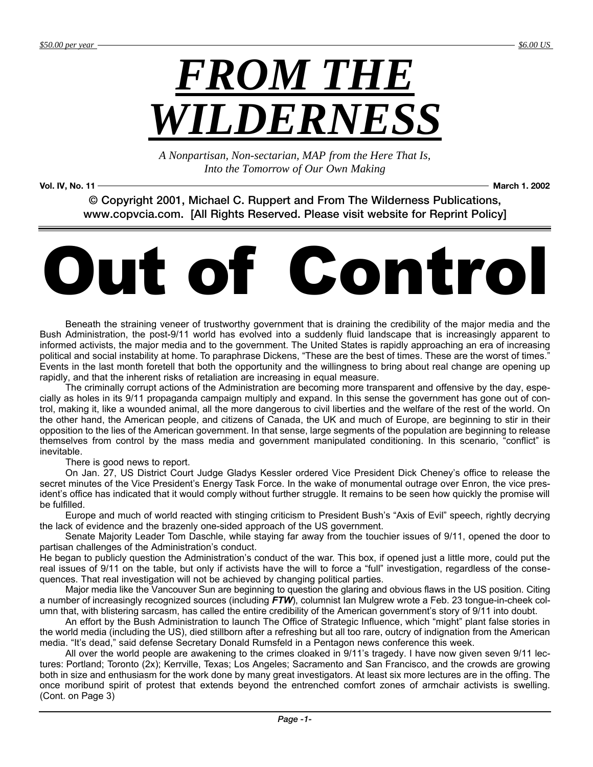

*A Nonpartisan, Non-sectarian, MAP from the Here That Is, Into the Tomorrow of Our Own Making*

**Vol. IV, No. 11 March 1. 2002**

© Copyright 2001, Michael C. Ruppert and From The Wilderness Publications, www.copvcia.com. [All Rights Reserved. Please visit website for Reprint Policy]

# Out of Control

Beneath the straining veneer of trustworthy government that is draining the credibility of the major media and the Bush Administration, the post-9/11 world has evolved into a suddenly fluid landscape that is increasingly apparent to informed activists, the major media and to the government. The United States is rapidly approaching an era of increasing political and social instability at home. To paraphrase Dickens, "These are the best of times. These are the worst of times." Events in the last month foretell that both the opportunity and the willingness to bring about real change are opening up rapidly, and that the inherent risks of retaliation are increasing in equal measure.

The criminally corrupt actions of the Administration are becoming more transparent and offensive by the day, especially as holes in its 9/11 propaganda campaign multiply and expand. In this sense the government has gone out of control, making it, like a wounded animal, all the more dangerous to civil liberties and the welfare of the rest of the world. On the other hand, the American people, and citizens of Canada, the UK and much of Europe, are beginning to stir in their opposition to the lies of the American government. In that sense, large segments of the population are beginning to release themselves from control by the mass media and government manipulated conditioning. In this scenario, "conflict" is inevitable.

There is good news to report.

On Jan. 27, US District Court Judge Gladys Kessler ordered Vice President Dick Cheney's office to release the secret minutes of the Vice President's Energy Task Force. In the wake of monumental outrage over Enron, the vice president's office has indicated that it would comply without further struggle. It remains to be seen how quickly the promise will be fulfilled.

Europe and much of world reacted with stinging criticism to President Bush's "Axis of Evil" speech, rightly decrying the lack of evidence and the brazenly one-sided approach of the US government.

Senate Majority Leader Tom Daschle, while staying far away from the touchier issues of 9/11, opened the door to partisan challenges of the Administration's conduct.

He began to publicly question the Administration's conduct of the war. This box, if opened just a little more, could put the real issues of 9/11 on the table, but only if activists have the will to force a "full" investigation, regardless of the consequences. That real investigation will not be achieved by changing political parties.

Major media like the Vancouver Sun are beginning to question the glaring and obvious flaws in the US position. Citing a number of increasingly recognized sources (including **FTW**), columnist Ian Mulgrew wrote a Feb. 23 tongue-in-cheek column that, with blistering sarcasm, has called the entire credibility of the American government's story of 9/11 into doubt.

An effort by the Bush Administration to launch The Office of Strategic Influence, which "might" plant false stories in the world media (including the US), died stillborn after a refreshing but all too rare, outcry of indignation from the American media. "It's dead," said defense Secretary Donald Rumsfeld in a Pentagon news conference this week.

All over the world people are awakening to the crimes cloaked in 9/11's tragedy. I have now given seven 9/11 lectures: Portland; Toronto (2x); Kerrville, Texas; Los Angeles; Sacramento and San Francisco, and the crowds are growing both in size and enthusiasm for the work done by many great investigators. At least six more lectures are in the offing. The once moribund spirit of protest that extends beyond the entrenched comfort zones of armchair activists is swelling. (Cont. on Page 3)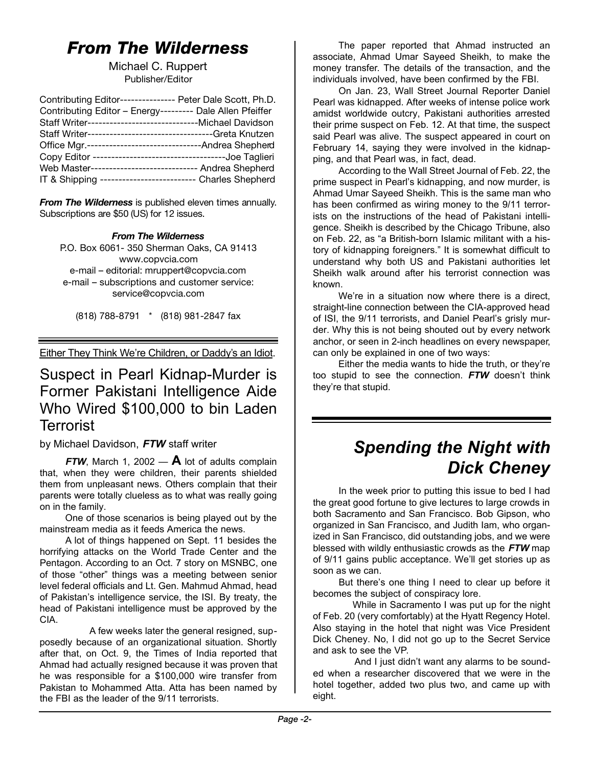# *From The Wilderness*

#### Michael C. Ruppert Publisher/Editor

| Contributing Editor--------------- Peter Dale Scott, Ph.D.      |  |
|-----------------------------------------------------------------|--|
| Contributing Editor - Energy--------- Dale Allen Pfeiffer       |  |
| Staff Writer---------------------------------- Michael Davidson |  |
|                                                                 |  |
| Office Mgr.--------------------------------Andrea Shepherd      |  |
|                                                                 |  |
| Web Master---------------------------- Andrea Shepherd          |  |
| IT & Shipping -------------------------- Charles Shepherd       |  |

*From The Wilderness* is published eleven times annually. Subscriptions are \$50 (US) for 12 issues.

#### *From The Wilderness*

P.O. Box 6061- 350 Sherman Oaks, CA 91413 www.copvcia.com e-mail – editorial: mruppert@copvcia.com e-mail – subscriptions and customer service: service@copvcia.com

(818) 788-8791 \* (818) 981-2847 fax

Either They Think We're Children, or Daddy's an Idiot.

## Suspect in Pearl Kidnap-Murder is Former Pakistani Intelligence Aide Who Wired \$100,000 to bin Laden Terrorist

#### by Michael Davidson, *FTW* staff writer

*FTW*, March 1, 2002 — **A** lot of adults complain that, when they were children, their parents shielded them from unpleasant news. Others complain that their parents were totally clueless as to what was really going on in the family.

One of those scenarios is being played out by the mainstream media as it feeds America the news.

A lot of things happened on Sept. 11 besides the horrifying attacks on the World Trade Center and the Pentagon. According to an Oct. 7 story on MSNBC, one of those "other" things was a meeting between senior level federal officials and Lt. Gen. Mahmud Ahmad, head of Pakistan's intelligence service, the ISI. By treaty, the head of Pakistani intelligence must be approved by the CIA.

A few weeks later the general resigned, supposedly because of an organizational situation. Shortly after that, on Oct. 9, the Times of India reported that Ahmad had actually resigned because it was proven that he was responsible for a \$100,000 wire transfer from Pakistan to Mohammed Atta. Atta has been named by the FBI as the leader of the 9/11 terrorists.

The paper reported that Ahmad instructed an associate, Ahmad Umar Sayeed Sheikh, to make the money transfer. The details of the transaction, and the individuals involved, have been confirmed by the FBI.

On Jan. 23, Wall Street Journal Reporter Daniel Pearl was kidnapped. After weeks of intense police work amidst worldwide outcry, Pakistani authorities arrested their prime suspect on Feb. 12. At that time, the suspect said Pearl was alive. The suspect appeared in court on February 14, saying they were involved in the kidnapping, and that Pearl was, in fact, dead.

According to the Wall Street Journal of Feb. 22, the prime suspect in Pearl's kidnapping, and now murder, is Ahmad Umar Sayeed Sheikh. This is the same man who has been confirmed as wiring money to the 9/11 terrorists on the instructions of the head of Pakistani intelligence. Sheikh is described by the Chicago Tribune, also on Feb. 22, as "a British-born Islamic militant with a history of kidnapping foreigners." It is somewhat difficult to understand why both US and Pakistani authorities let Sheikh walk around after his terrorist connection was known.

We're in a situation now where there is a direct. straight-line connection between the CIA-approved head of ISI, the 9/11 terrorists, and Daniel Pearl's grisly murder. Why this is not being shouted out by every network anchor, or seen in 2-inch headlines on every newspaper, can only be explained in one of two ways:

Either the media wants to hide the truth, or they're too stupid to see the connection. *FTW* doesn't think they're that stupid.

# *Spending the Night with Dick Cheney*

In the week prior to putting this issue to bed I had the great good fortune to give lectures to large crowds in both Sacramento and San Francisco. Bob Gipson, who organized in San Francisco, and Judith Iam, who organized in San Francisco, did outstanding jobs, and we were blessed with wildly enthusiastic crowds as the *FTW* map of 9/11 gains public acceptance. We'll get stories up as soon as we can.

But there's one thing I need to clear up before it becomes the subject of conspiracy lore.

While in Sacramento I was put up for the night of Feb. 20 (very comfortably) at the Hyatt Regency Hotel. Also staying in the hotel that night was Vice President Dick Cheney. No, I did not go up to the Secret Service and ask to see the VP.

And I just didn't want any alarms to be sounded when a researcher discovered that we were in the hotel together, added two plus two, and came up with eight.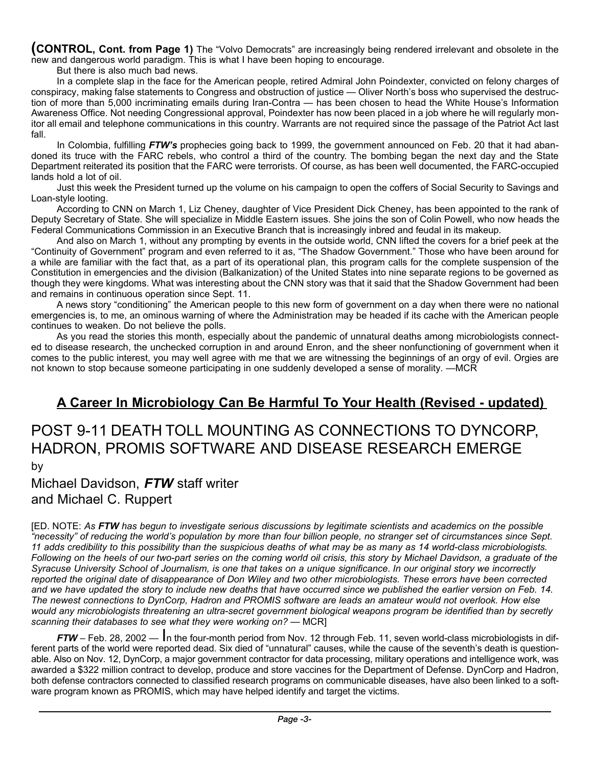**(CONTROL, Cont. from Page 1)** The "Volvo Democrats" are increasingly being rendered irrelevant and obsolete in the new and dangerous world paradigm. This is what I have been hoping to encourage.

But there is also much bad news.

In a complete slap in the face for the American people, retired Admiral John Poindexter, convicted on felony charges of conspiracy, making false statements to Congress and obstruction of justice — Oliver North's boss who supervised the destruction of more than 5,000 incriminating emails during Iran-Contra — has been chosen to head the White House's Information Awareness Office. Not needing Congressional approval, Poindexter has now been placed in a job where he will regularly monitor all email and telephone communications in this country. Warrants are not required since the passage of the Patriot Act last fall.

In Colombia, fulfilling *FTW's* prophecies going back to 1999, the government announced on Feb. 20 that it had abandoned its truce with the FARC rebels, who control a third of the country. The bombing began the next day and the State Department reiterated its position that the FARC were terrorists. Of course, as has been well documented, the FARC-occupied lands hold a lot of oil.

Just this week the President turned up the volume on his campaign to open the coffers of Social Security to Savings and Loan-style looting.

According to CNN on March 1, Liz Cheney, daughter of Vice President Dick Cheney, has been appointed to the rank of Deputy Secretary of State. She will specialize in Middle Eastern issues. She joins the son of Colin Powell, who now heads the Federal Communications Commission in an Executive Branch that is increasingly inbred and feudal in its makeup.

And also on March 1, without any prompting by events in the outside world, CNN lifted the covers for a brief peek at the "Continuity of Government" program and even referred to it as, "The Shadow Government." Those who have been around for a while are familiar with the fact that, as a part of its operational plan, this program calls for the complete suspension of the Constitution in emergencies and the division (Balkanization) of the United States into nine separate regions to be governed as though they were kingdoms. What was interesting about the CNN story was that it said that the Shadow Government had been and remains in continuous operation since Sept. 11.

A news story "conditioning" the American people to this new form of government on a day when there were no national emergencies is, to me, an ominous warning of where the Administration may be headed if its cache with the American people continues to weaken. Do not believe the polls.

As you read the stories this month, especially about the pandemic of unnatural deaths among microbiologists connected to disease research, the unchecked corruption in and around Enron, and the sheer nonfunctioning of government when it comes to the public interest, you may well agree with me that we are witnessing the beginnings of an orgy of evil. Orgies are not known to stop because someone participating in one suddenly developed a sense of morality. —MCR

## **A Career In Microbiology Can Be Harmful To Your Health (Revised - updated)**

POST 9-11 DEATH TOLL MOUNTING AS CONNECTIONS TO DYNCORP, HADRON, PROMIS SOFTWARE AND DISEASE RESEARCH EMERGE by

## Michael Davidson, *FTW* staff writer and Michael C. Ruppert

[ED. NOTE: *As FTW has begun to investigate serious discussions by legitimate scientists and academics on the possible "necessity" of reducing the world's population by more than four billion people, no stranger set of circumstances since Sept. 11 adds credibility to this possibility than the suspicious deaths of what may be as many as 14 world-class microbiologists. Following on the heels of our two-part series on the coming world oil crisis, this story by Michael Davidson, a graduate of the Syracuse University School of Journalism, is one that takes on a unique significance. In our original story we incorrectly reported the original date of disappearance of Don Wiley and two other microbiologists. These errors have been corrected and we have updated the story to include new deaths that have occurred since we published the earlier version on Feb. 14. The newest connections to DynCorp, Hadron and PROMIS software are leads an amateur would not overlook. How else* would any microbiologists threatening an ultra-secret government biological weapons program be identified than by secretly *scanning their databases to see what they were working on?* — MCR]

 $FTW$  – Feb. 28, 2002 — In the four-month period from Nov. 12 through Feb. 11, seven world-class microbiologists in different parts of the world were reported dead. Six died of "unnatural" causes, while the cause of the seventh's death is questionable. Also on Nov. 12, DynCorp, a major government contractor for data processing, military operations and intelligence work, was awarded a \$322 million contract to develop, produce and store vaccines for the Department of Defense. DynCorp and Hadron, both defense contractors connected to classified research programs on communicable diseases, have also been linked to a software program known as PROMIS, which may have helped identify and target the victims.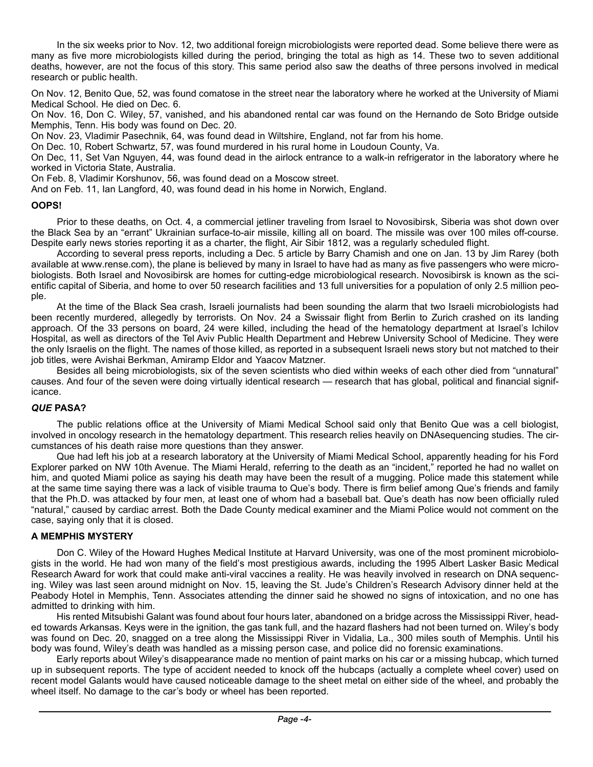In the six weeks prior to Nov. 12, two additional foreign microbiologists were reported dead. Some believe there were as many as five more microbiologists killed during the period, bringing the total as high as 14. These two to seven additional deaths, however, are not the focus of this story. This same period also saw the deaths of three persons involved in medical research or public health.

On Nov. 12, Benito Que, 52, was found comatose in the street near the laboratory where he worked at the University of Miami Medical School. He died on Dec. 6.

On Nov. 16, Don C. Wiley, 57, vanished, and his abandoned rental car was found on the Hernando de Soto Bridge outside Memphis, Tenn. His body was found on Dec. 20.

On Nov. 23, Vladimir Pasechnik, 64, was found dead in Wiltshire, England, not far from his home.

On Dec. 10, Robert Schwartz, 57, was found murdered in his rural home in Loudoun County, Va.

On Dec, 11, Set Van Nguyen, 44, was found dead in the airlock entrance to a walk-in refrigerator in the laboratory where he worked in Victoria State, Australia.

On Feb. 8, Vladimir Korshunov, 56, was found dead on a Moscow street.

And on Feb. 11, Ian Langford, 40, was found dead in his home in Norwich, England.

#### **OOPS!**

Prior to these deaths, on Oct. 4, a commercial jetliner traveling from Israel to Novosibirsk, Siberia was shot down over the Black Sea by an "errant" Ukrainian surface-to-air missile, killing all on board. The missile was over 100 miles off-course. Despite early news stories reporting it as a charter, the flight, Air Sibir 1812, was a regularly scheduled flight.

According to several press reports, including a Dec. 5 article by Barry Chamish and one on Jan. 13 by Jim Rarey (both available at www.rense.com), the plane is believed by many in Israel to have had as many as five passengers who were microbiologists. Both Israel and Novosibirsk are homes for cutting-edge microbiological research. Novosibirsk is known as the scientific capital of Siberia, and home to over 50 research facilities and 13 full universities for a population of only 2.5 million people.

At the time of the Black Sea crash, Israeli journalists had been sounding the alarm that two Israeli microbiologists had been recently murdered, allegedly by terrorists. On Nov. 24 a Swissair flight from Berlin to Zurich crashed on its landing approach. Of the 33 persons on board, 24 were killed, including the head of the hematology department at Israel's Ichilov Hospital, as well as directors of the Tel Aviv Public Health Department and Hebrew University School of Medicine. They were the only Israelis on the flight. The names of those killed, as reported in a subsequent Israeli news story but not matched to their job titles, were Avishai Berkman, Amiramp Eldor and Yaacov Matzner.

Besides all being microbiologists, six of the seven scientists who died within weeks of each other died from "unnatural" causes. And four of the seven were doing virtually identical research — research that has global, political and financial significance.

#### *QUE* **PASA?**

The public relations office at the University of Miami Medical School said only that Benito Que was a cell biologist, involved in oncology research in the hematology department. This research relies heavily on DNAsequencing studies. The circumstances of his death raise more questions than they answer.

Que had left his job at a research laboratory at the University of Miami Medical School, apparently heading for his Ford Explorer parked on NW 10th Avenue. The Miami Herald, referring to the death as an "incident," reported he had no wallet on him, and quoted Miami police as saying his death may have been the result of a mugging. Police made this statement while at the same time saying there was a lack of visible trauma to Que's body. There is firm belief among Que's friends and family that the Ph.D. was attacked by four men, at least one of whom had a baseball bat. Que's death has now been officially ruled "natural," caused by cardiac arrest. Both the Dade County medical examiner and the Miami Police would not comment on the case, saying only that it is closed.

#### **A MEMPHIS MYSTERY**

Don C. Wiley of the Howard Hughes Medical Institute at Harvard University, was one of the most prominent microbiologists in the world. He had won many of the field's most prestigious awards, including the 1995 Albert Lasker Basic Medical Research Award for work that could make anti-viral vaccines a reality. He was heavily involved in research on DNA sequencing. Wiley was last seen around midnight on Nov. 15, leaving the St. Jude's Children's Research Advisory dinner held at the Peabody Hotel in Memphis, Tenn. Associates attending the dinner said he showed no signs of intoxication, and no one has admitted to drinking with him.

His rented Mitsubishi Galant was found about four hours later, abandoned on a bridge across the Mississippi River, headed towards Arkansas. Keys were in the ignition, the gas tank full, and the hazard flashers had not been turned on. Wiley's body was found on Dec. 20, snagged on a tree along the Mississippi River in Vidalia, La., 300 miles south of Memphis. Until his body was found, Wiley's death was handled as a missing person case, and police did no forensic examinations.

Early reports about Wiley's disappearance made no mention of paint marks on his car or a missing hubcap, which turned up in subsequent reports. The type of accident needed to knock off the hubcaps (actually a complete wheel cover) used on recent model Galants would have caused noticeable damage to the sheet metal on either side of the wheel, and probably the wheel itself. No damage to the car's body or wheel has been reported.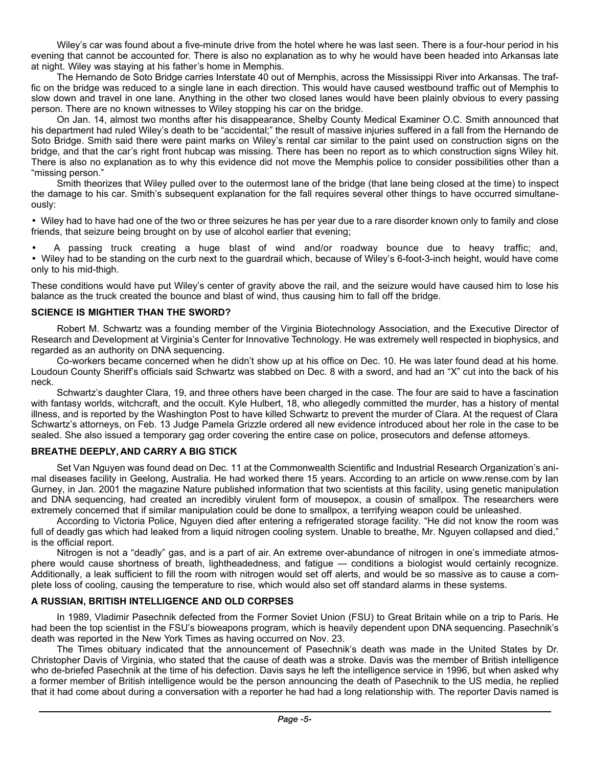Wiley's car was found about a five-minute drive from the hotel where he was last seen. There is a four-hour period in his evening that cannot be accounted for. There is also no explanation as to why he would have been headed into Arkansas late at night. Wiley was staying at his father's home in Memphis.

The Hernando de Soto Bridge carries Interstate 40 out of Memphis, across the Mississippi River into Arkansas. The traffic on the bridge was reduced to a single lane in each direction. This would have caused westbound traffic out of Memphis to slow down and travel in one lane. Anything in the other two closed lanes would have been plainly obvious to every passing person. There are no known witnesses to Wiley stopping his car on the bridge.

On Jan. 14, almost two months after his disappearance, Shelby County Medical Examiner O.C. Smith announced that his department had ruled Wiley's death to be "accidental;" the result of massive injuries suffered in a fall from the Hernando de Soto Bridge. Smith said there were paint marks on Wiley's rental car similar to the paint used on construction signs on the bridge, and that the car's right front hubcap was missing. There has been no report as to which construction signs Wiley hit. There is also no explanation as to why this evidence did not move the Memphis police to consider possibilities other than a "missing person."

Smith theorizes that Wiley pulled over to the outermost lane of the bridge (that lane being closed at the time) to inspect the damage to his car. Smith's subsequent explanation for the fall requires several other things to have occurred simultaneously:

• Wiley had to have had one of the two or three seizures he has per year due to a rare disorder known only to family and close friends, that seizure being brought on by use of alcohol earlier that evening;

• A passing truck creating a huge blast of wind and/or roadway bounce due to heavy traffic; and, • Wiley had to be standing on the curb next to the guardrail which, because of Wiley's 6-foot-3-inch height, would have come only to his mid-thigh.

These conditions would have put Wiley's center of gravity above the rail, and the seizure would have caused him to lose his balance as the truck created the bounce and blast of wind, thus causing him to fall off the bridge.

#### **SCIENCE IS MIGHTIER THAN THE SWORD?**

Robert M. Schwartz was a founding member of the Virginia Biotechnology Association, and the Executive Director of Research and Development at Virginia's Center for Innovative Technology. He was extremely well respected in biophysics, and regarded as an authority on DNA sequencing.

Co-workers became concerned when he didn't show up at his office on Dec. 10. He was later found dead at his home. Loudoun County Sheriff's officials said Schwartz was stabbed on Dec. 8 with a sword, and had an "X" cut into the back of his neck.

Schwartz's daughter Clara, 19, and three others have been charged in the case. The four are said to have a fascination with fantasy worlds, witchcraft, and the occult. Kyle Hulbert, 18, who allegedly committed the murder, has a history of mental illness, and is reported by the Washington Post to have killed Schwartz to prevent the murder of Clara. At the request of Clara Schwartz's attorneys, on Feb. 13 Judge Pamela Grizzle ordered all new evidence introduced about her role in the case to be sealed. She also issued a temporary gag order covering the entire case on police, prosecutors and defense attorneys.

#### **BREATHE DEEPLY, AND CARRY A BIG STICK**

Set Van Nguyen was found dead on Dec. 11 at the Commonwealth Scientific and Industrial Research Organization's animal diseases facility in Geelong, Australia. He had worked there 15 years. According to an article on www.rense.com by Ian Gurney, in Jan. 2001 the magazine Nature published information that two scientists at this facility, using genetic manipulation and DNA sequencing, had created an incredibly virulent form of mousepox, a cousin of smallpox. The researchers were extremely concerned that if similar manipulation could be done to smallpox, a terrifying weapon could be unleashed.

According to Victoria Police, Nguyen died after entering a refrigerated storage facility. "He did not know the room was full of deadly gas which had leaked from a liquid nitrogen cooling system. Unable to breathe, Mr. Nguyen collapsed and died," is the official report.

Nitrogen is not a "deadly" gas, and is a part of air. An extreme over-abundance of nitrogen in one's immediate atmosphere would cause shortness of breath, lightheadedness, and fatigue — conditions a biologist would certainly recognize. Additionally, a leak sufficient to fill the room with nitrogen would set off alerts, and would be so massive as to cause a complete loss of cooling, causing the temperature to rise, which would also set off standard alarms in these systems.

#### **A RUSSIAN, BRITISH INTELLIGENCE AND OLD CORPSES**

In 1989, Vladimir Pasechnik defected from the Former Soviet Union (FSU) to Great Britain while on a trip to Paris. He had been the top scientist in the FSU's bioweapons program, which is heavily dependent upon DNA sequencing. Pasechnik's death was reported in the New York Times as having occurred on Nov. 23.

The Times obituary indicated that the announcement of Pasechnik's death was made in the United States by Dr. Christopher Davis of Virginia, who stated that the cause of death was a stroke. Davis was the member of British intelligence who de-briefed Pasechnik at the time of his defection. Davis says he left the intelligence service in 1996, but when asked why a former member of British intelligence would be the person announcing the death of Pasechnik to the US media, he replied that it had come about during a conversation with a reporter he had had a long relationship with. The reporter Davis named is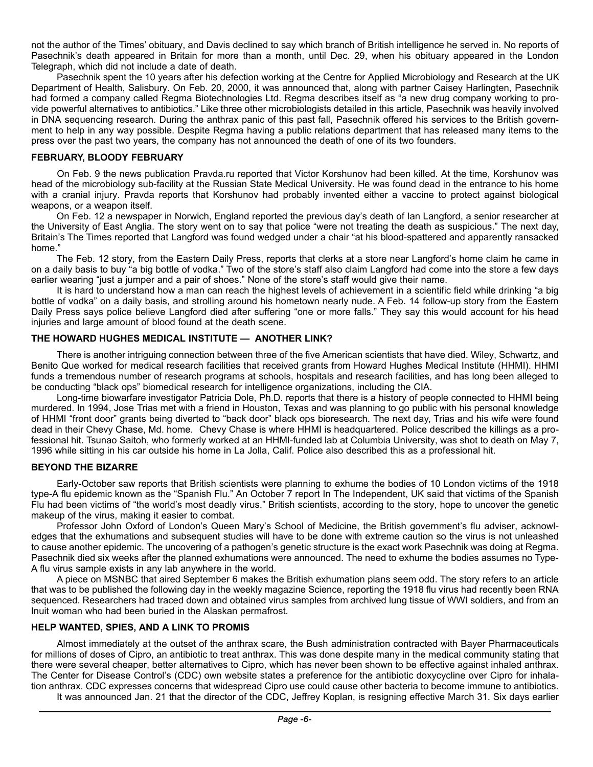not the author of the Times' obituary, and Davis declined to say which branch of British intelligence he served in. No reports of Pasechnik's death appeared in Britain for more than a month, until Dec. 29, when his obituary appeared in the London Telegraph, which did not include a date of death.

Pasechnik spent the 10 years after his defection working at the Centre for Applied Microbiology and Research at the UK Department of Health, Salisbury. On Feb. 20, 2000, it was announced that, along with partner Caisey Harlingten, Pasechnik had formed a company called Regma Biotechnologies Ltd. Regma describes itself as "a new drug company working to provide powerful alternatives to antibiotics." Like three other microbiologists detailed in this article, Pasechnik was heavily involved in DNA sequencing research. During the anthrax panic of this past fall, Pasechnik offered his services to the British government to help in any way possible. Despite Regma having a public relations department that has released many items to the press over the past two years, the company has not announced the death of one of its two founders.

#### **FEBRUARY, BLOODY FEBRUARY**

On Feb. 9 the news publication Pravda.ru reported that Victor Korshunov had been killed. At the time, Korshunov was head of the microbiology sub-facility at the Russian State Medical University. He was found dead in the entrance to his home with a cranial injury. Pravda reports that Korshunov had probably invented either a vaccine to protect against biological weapons, or a weapon itself.

On Feb. 12 a newspaper in Norwich, England reported the previous day's death of Ian Langford, a senior researcher at the University of East Anglia. The story went on to say that police "were not treating the death as suspicious." The next day, Britain's The Times reported that Langford was found wedged under a chair "at his blood-spattered and apparently ransacked home."

The Feb. 12 story, from the Eastern Daily Press, reports that clerks at a store near Langford's home claim he came in on a daily basis to buy "a big bottle of vodka." Two of the store's staff also claim Langford had come into the store a few days earlier wearing "just a jumper and a pair of shoes." None of the store's staff would give their name.

It is hard to understand how a man can reach the highest levels of achievement in a scientific field while drinking "a big bottle of vodka" on a daily basis, and strolling around his hometown nearly nude. A Feb. 14 follow-up story from the Eastern Daily Press says police believe Langford died after suffering "one or more falls." They say this would account for his head injuries and large amount of blood found at the death scene.

#### **THE HOWARD HUGHES MEDICAL INSTITUTE — ANOTHER LINK?**

There is another intriguing connection between three of the five American scientists that have died. Wiley, Schwartz, and Benito Que worked for medical research facilities that received grants from Howard Hughes Medical Institute (HHMI). HHMI funds a tremendous number of research programs at schools, hospitals and research facilities, and has long been alleged to be conducting "black ops" biomedical research for intelligence organizations, including the CIA.

Long-time biowarfare investigator Patricia Dole, Ph.D. reports that there is a history of people connected to HHMI being murdered. In 1994, Jose Trias met with a friend in Houston, Texas and was planning to go public with his personal knowledge of HHMI "front door" grants being diverted to "back door" black ops bioresearch. The next day, Trias and his wife were found dead in their Chevy Chase, Md. home. Chevy Chase is where HHMI is headquartered. Police described the killings as a professional hit. Tsunao Saitoh, who formerly worked at an HHMI-funded lab at Columbia University, was shot to death on May 7, 1996 while sitting in his car outside his home in La Jolla, Calif. Police also described this as a professional hit.

#### **BEYOND THE BIZARRE**

Early-October saw reports that British scientists were planning to exhume the bodies of 10 London victims of the 1918 type-A flu epidemic known as the "Spanish Flu." An October 7 report In The Independent, UK said that victims of the Spanish Flu had been victims of "the world's most deadly virus." British scientists, according to the story, hope to uncover the genetic makeup of the virus, making it easier to combat.

Professor John Oxford of London's Queen Mary's School of Medicine, the British government's flu adviser, acknowledges that the exhumations and subsequent studies will have to be done with extreme caution so the virus is not unleashed to cause another epidemic. The uncovering of a pathogen's genetic structure is the exact work Pasechnik was doing at Regma. Pasechnik died six weeks after the planned exhumations were announced. The need to exhume the bodies assumes no Type-A flu virus sample exists in any lab anywhere in the world.

A piece on MSNBC that aired September 6 makes the British exhumation plans seem odd. The story refers to an article that was to be published the following day in the weekly magazine Science, reporting the 1918 flu virus had recently been RNA sequenced. Researchers had traced down and obtained virus samples from archived lung tissue of WWI soldiers, and from an Inuit woman who had been buried in the Alaskan permafrost.

#### **HELP WANTED, SPIES, AND A LINK TO PROMIS**

Almost immediately at the outset of the anthrax scare, the Bush administration contracted with Bayer Pharmaceuticals for millions of doses of Cipro, an antibiotic to treat anthrax. This was done despite many in the medical community stating that there were several cheaper, better alternatives to Cipro, which has never been shown to be effective against inhaled anthrax. The Center for Disease Control's (CDC) own website states a preference for the antibiotic doxycycline over Cipro for inhalation anthrax. CDC expresses concerns that widespread Cipro use could cause other bacteria to become immune to antibiotics.

It was announced Jan. 21 that the director of the CDC, Jeffrey Koplan, is resigning effective March 31. Six days earlier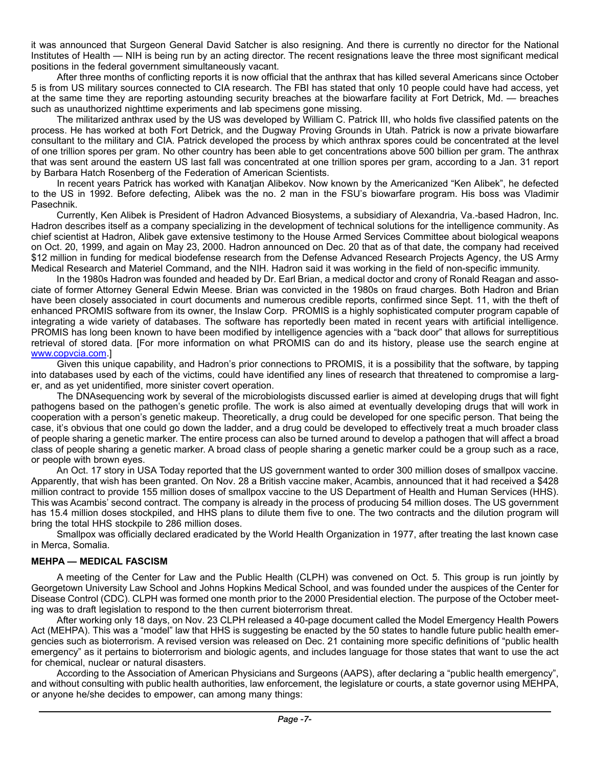it was announced that Surgeon General David Satcher is also resigning. And there is currently no director for the National Institutes of Health — NIH is being run by an acting director. The recent resignations leave the three most significant medical positions in the federal government simultaneously vacant.

After three months of conflicting reports it is now official that the anthrax that has killed several Americans since October 5 is from US military sources connected to CIA research. The FBI has stated that only 10 people could have had access, yet at the same time they are reporting astounding security breaches at the biowarfare facility at Fort Detrick, Md. — breaches such as unauthorized nighttime experiments and lab specimens gone missing.

The militarized anthrax used by the US was developed by William C. Patrick III, who holds five classified patents on the process. He has worked at both Fort Detrick, and the Dugway Proving Grounds in Utah. Patrick is now a private biowarfare consultant to the military and CIA. Patrick developed the process by which anthrax spores could be concentrated at the level of one trillion spores per gram. No other country has been able to get concentrations above 500 billion per gram. The anthrax that was sent around the eastern US last fall was concentrated at one trillion spores per gram, according to a Jan. 31 report by Barbara Hatch Rosenberg of the Federation of American Scientists.

In recent years Patrick has worked with Kanatjan Alibekov. Now known by the Americanized "Ken Alibek", he defected to the US in 1992. Before defecting, Alibek was the no. 2 man in the FSU's biowarfare program. His boss was Vladimir Pasechnik.

Currently, Ken Alibek is President of Hadron Advanced Biosystems, a subsidiary of Alexandria, Va.-based Hadron, Inc. Hadron describes itself as a company specializing in the development of technical solutions for the intelligence community. As chief scientist at Hadron, Alibek gave extensive testimony to the House Armed Services Committee about biological weapons on Oct. 20, 1999, and again on May 23, 2000. Hadron announced on Dec. 20 that as of that date, the company had received \$12 million in funding for medical biodefense research from the Defense Advanced Research Projects Agency, the US Army Medical Research and Materiel Command, and the NIH. Hadron said it was working in the field of non-specific immunity.

In the 1980s Hadron was founded and headed by Dr. Earl Brian, a medical doctor and crony of Ronald Reagan and associate of former Attorney General Edwin Meese. Brian was convicted in the 1980s on fraud charges. Both Hadron and Brian have been closely associated in court documents and numerous credible reports, confirmed since Sept. 11, with the theft of enhanced PROMIS software from its owner, the Inslaw Corp. PROMIS is a highly sophisticated computer program capable of integrating a wide variety of databases. The software has reportedly been mated in recent years with artificial intelligence. PROMIS has long been known to have been modified by intelligence agencies with a "back door" that allows for surreptitious retrieval of stored data. [For more information on what PROMIS can do and its history, please use the search engine at [www.copvcia.com.](http://www.copvcia.com)]

Given this unique capability, and Hadron's prior connections to PROMIS, it is a possibility that the software, by tapping into databases used by each of the victims, could have identified any lines of research that threatened to compromise a larger, and as yet unidentified, more sinister covert operation.

The DNAsequencing work by several of the microbiologists discussed earlier is aimed at developing drugs that will fight pathogens based on the pathogen's genetic profile. The work is also aimed at eventually developing drugs that will work in cooperation with a person's genetic makeup. Theoretically, a drug could be developed for one specific person. That being the case, it's obvious that one could go down the ladder, and a drug could be developed to effectively treat a much broader class of people sharing a genetic marker. The entire process can also be turned around to develop a pathogen that will affect a broad class of people sharing a genetic marker. A broad class of people sharing a genetic marker could be a group such as a race, or people with brown eyes.

An Oct. 17 story in USA Today reported that the US government wanted to order 300 million doses of smallpox vaccine. Apparently, that wish has been granted. On Nov. 28 a British vaccine maker, Acambis, announced that it had received a \$428 million contract to provide 155 million doses of smallpox vaccine to the US Department of Health and Human Services (HHS). This was Acambis' second contract. The company is already in the process of producing 54 million doses. The US government has 15.4 million doses stockpiled, and HHS plans to dilute them five to one. The two contracts and the dilution program will bring the total HHS stockpile to 286 million doses.

Smallpox was officially declared eradicated by the World Health Organization in 1977, after treating the last known case in Merca, Somalia.

#### **MEHPA — MEDICAL FASCISM**

A meeting of the Center for Law and the Public Health (CLPH) was convened on Oct. 5. This group is run jointly by Georgetown University Law School and Johns Hopkins Medical School, and was founded under the auspices of the Center for Disease Control (CDC). CLPH was formed one month prior to the 2000 Presidential election. The purpose of the October meeting was to draft legislation to respond to the then current bioterrorism threat.

After working only 18 days, on Nov. 23 CLPH released a 40-page document called the Model Emergency Health Powers Act (MEHPA). This was a "model" law that HHS is suggesting be enacted by the 50 states to handle future public health emergencies such as bioterrorism. A revised version was released on Dec. 21 containing more specific definitions of "public health emergency" as it pertains to bioterrorism and biologic agents, and includes language for those states that want to use the act for chemical, nuclear or natural disasters.

According to the Association of American Physicians and Surgeons (AAPS), after declaring a "public health emergency", and without consulting with public health authorities, law enforcement, the legislature or courts, a state governor using MEHPA, or anyone he/she decides to empower, can among many things: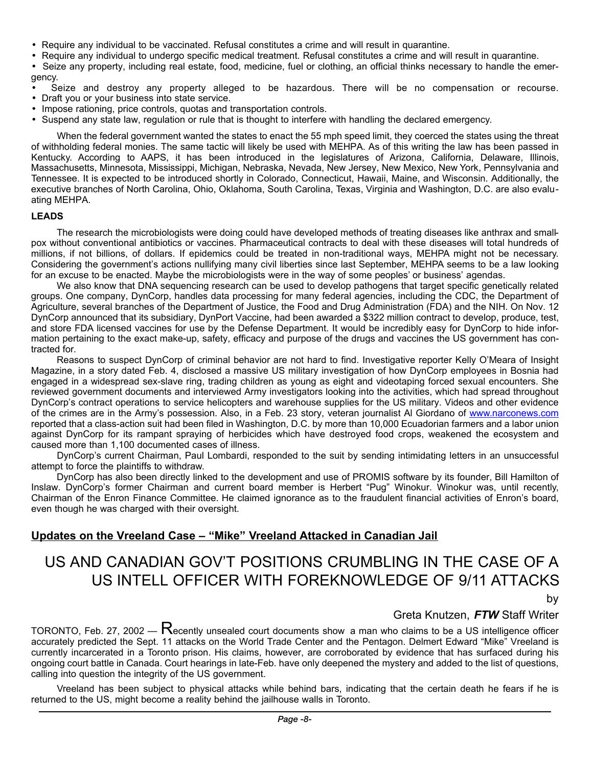• Require any individual to be vaccinated. Refusal constitutes a crime and will result in quarantine.

• Require any individual to undergo specific medical treatment. Refusal constitutes a crime and will result in quarantine.

• Seize any property, including real estate, food, medicine, fuel or clothing, an official thinks necessary to handle the emergency.

• Seize and destroy any property alleged to be hazardous. There will be no compensation or recourse. • Draft you or your business into state service.

- Impose rationing, price controls, quotas and transportation controls.
- Suspend any state law, regulation or rule that is thought to interfere with handling the declared emergency.

When the federal government wanted the states to enact the 55 mph speed limit, they coerced the states using the threat of withholding federal monies. The same tactic will likely be used with MEHPA. As of this writing the law has been passed in Kentucky. According to AAPS, it has been introduced in the legislatures of Arizona, California, Delaware, Illinois, Massachusetts, Minnesota, Mississippi, Michigan, Nebraska, Nevada, New Jersey, New Mexico, New York, Pennsylvania and Tennessee. It is expected to be introduced shortly in Colorado, Connecticut, Hawaii, Maine, and Wisconsin. Additionally, the executive branches of North Carolina, Ohio, Oklahoma, South Carolina, Texas, Virginia and Washington, D.C. are also evaluating MEHPA.

#### **LEADS**

The research the microbiologists were doing could have developed methods of treating diseases like anthrax and smallpox without conventional antibiotics or vaccines. Pharmaceutical contracts to deal with these diseases will total hundreds of millions, if not billions, of dollars. If epidemics could be treated in non-traditional ways, MEHPA might not be necessary. Considering the government's actions nullifying many civil liberties since last September, MEHPA seems to be a law looking for an excuse to be enacted. Maybe the microbiologists were in the way of some peoples' or business' agendas.

We also know that DNA sequencing research can be used to develop pathogens that target specific genetically related groups. One company, DynCorp, handles data processing for many federal agencies, including the CDC, the Department of Agriculture, several branches of the Department of Justice, the Food and Drug Administration (FDA) and the NIH. On Nov. 12 DynCorp announced that its subsidiary, DynPort Vaccine, had been awarded a \$322 million contract to develop, produce, test, and store FDA licensed vaccines for use by the Defense Department. It would be incredibly easy for DynCorp to hide information pertaining to the exact make-up, safety, efficacy and purpose of the drugs and vaccines the US government has contracted for.

Reasons to suspect DynCorp of criminal behavior are not hard to find. Investigative reporter Kelly O'Meara of Insight Magazine, in a story dated Feb. 4, disclosed a massive US military investigation of how DynCorp employees in Bosnia had engaged in a widespread sex-slave ring, trading children as young as eight and videotaping forced sexual encounters. She reviewed government documents and interviewed Army investigators looking into the activities, which had spread throughout DynCorp's contract operations to service helicopters and warehouse supplies for the US military. Videos and other evidence of the crimes are in the Army's possession. Also, in a Feb. 23 story, veteran journalist Al Giordano of [www.narconews.com](http://www.narconews.com) reported that a class-action suit had been filed in Washington, D.C. by more than 10,000 Ecuadorian farmers and a labor union against DynCorp for its rampant spraying of herbicides which have destroyed food crops, weakened the ecosystem and caused more than 1,100 documented cases of illness.

DynCorp's current Chairman, Paul Lombardi, responded to the suit by sending intimidating letters in an unsuccessful attempt to force the plaintiffs to withdraw.

DynCorp has also been directly linked to the development and use of PROMIS software by its founder, Bill Hamilton of Inslaw. DynCorp's former Chairman and current board member is Herbert "Pug" Winokur. Winokur was, until recently, Chairman of the Enron Finance Committee. He claimed ignorance as to the fraudulent financial activities of Enron's board, even though he was charged with their oversight.

#### **Updates on the Vreeland Case – "Mike" Vreeland Attacked in Canadian Jail**

## US AND CANADIAN GOV'T POSITIONS CRUMBLING IN THE CASE OF A US INTELL OFFICER WITH FOREKNOWLEDGE OF 9/11 ATTACKS

by

#### Greta Knutzen, *FTW* Staff Writer

TORONTO, Feb. 27, 2002 —  $\mathsf R$ ecently unsealed court documents show a man who claims to be a US intelligence officer accurately predicted the Sept. 11 attacks on the World Trade Center and the Pentagon. Delmert Edward "Mike" Vreeland is currently incarcerated in a Toronto prison. His claims, however, are corroborated by evidence that has surfaced during his ongoing court battle in Canada. Court hearings in late-Feb. have only deepened the mystery and added to the list of questions, calling into question the integrity of the US government.

Vreeland has been subject to physical attacks while behind bars, indicating that the certain death he fears if he is returned to the US, might become a reality behind the jailhouse walls in Toronto.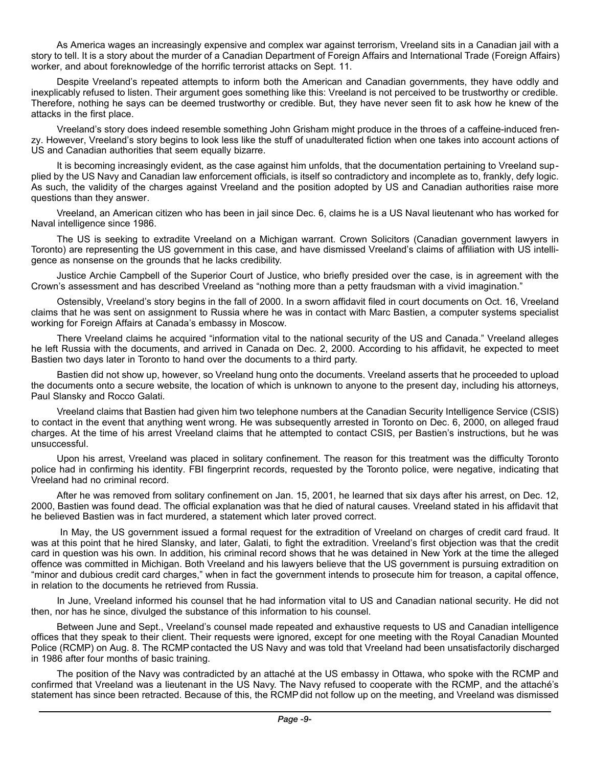As America wages an increasingly expensive and complex war against terrorism, Vreeland sits in a Canadian jail with a story to tell. It is a story about the murder of a Canadian Department of Foreign Affairs and International Trade (Foreign Affairs) worker, and about foreknowledge of the horrific terrorist attacks on Sept. 11.

Despite Vreeland's repeated attempts to inform both the American and Canadian governments, they have oddly and inexplicably refused to listen. Their argument goes something like this: Vreeland is not perceived to be trustworthy or credible. Therefore, nothing he says can be deemed trustworthy or credible. But, they have never seen fit to ask how he knew of the attacks in the first place.

Vreeland's story does indeed resemble something John Grisham might produce in the throes of a caffeine-induced frenzy. However, Vreeland's story begins to look less like the stuff of unadulterated fiction when one takes into account actions of US and Canadian authorities that seem equally bizarre.

It is becoming increasingly evident, as the case against him unfolds, that the documentation pertaining to Vreeland supplied by the US Navy and Canadian law enforcement officials, is itself so contradictory and incomplete as to, frankly, defy logic. As such, the validity of the charges against Vreeland and the position adopted by US and Canadian authorities raise more questions than they answer.

Vreeland, an American citizen who has been in jail since Dec. 6, claims he is a US Naval lieutenant who has worked for Naval intelligence since 1986.

The US is seeking to extradite Vreeland on a Michigan warrant. Crown Solicitors (Canadian government lawyers in Toronto) are representing the US government in this case, and have dismissed Vreeland's claims of affiliation with US intelligence as nonsense on the grounds that he lacks credibility.

Justice Archie Campbell of the Superior Court of Justice, who briefly presided over the case, is in agreement with the Crown's assessment and has described Vreeland as "nothing more than a petty fraudsman with a vivid imagination."

Ostensibly, Vreeland's story begins in the fall of 2000. In a sworn affidavit filed in court documents on Oct. 16, Vreeland claims that he was sent on assignment to Russia where he was in contact with Marc Bastien, a computer systems specialist working for Foreign Affairs at Canada's embassy in Moscow.

There Vreeland claims he acquired "information vital to the national security of the US and Canada." Vreeland alleges he left Russia with the documents, and arrived in Canada on Dec. 2, 2000. According to his affidavit, he expected to meet Bastien two days later in Toronto to hand over the documents to a third party.

Bastien did not show up, however, so Vreeland hung onto the documents. Vreeland asserts that he proceeded to upload the documents onto a secure website, the location of which is unknown to anyone to the present day, including his attorneys, Paul Slansky and Rocco Galati.

Vreeland claims that Bastien had given him two telephone numbers at the Canadian Security Intelligence Service (CSIS) to contact in the event that anything went wrong. He was subsequently arrested in Toronto on Dec. 6, 2000, on alleged fraud charges. At the time of his arrest Vreeland claims that he attempted to contact CSIS, per Bastien's instructions, but he was unsuccessful.

Upon his arrest, Vreeland was placed in solitary confinement. The reason for this treatment was the difficulty Toronto police had in confirming his identity. FBI fingerprint records, requested by the Toronto police, were negative, indicating that Vreeland had no criminal record.

After he was removed from solitary confinement on Jan. 15, 2001, he learned that six days after his arrest, on Dec. 12, 2000, Bastien was found dead. The official explanation was that he died of natural causes. Vreeland stated in his affidavit that he believed Bastien was in fact murdered, a statement which later proved correct.

In May, the US government issued a formal request for the extradition of Vreeland on charges of credit card fraud. It was at this point that he hired Slansky, and later, Galati, to fight the extradition. Vreeland's first objection was that the credit card in question was his own. In addition, his criminal record shows that he was detained in New York at the time the alleged offence was committed in Michigan. Both Vreeland and his lawyers believe that the US government is pursuing extradition on "minor and dubious credit card charges," when in fact the government intends to prosecute him for treason, a capital offence, in relation to the documents he retrieved from Russia.

In June, Vreeland informed his counsel that he had information vital to US and Canadian national security. He did not then, nor has he since, divulged the substance of this information to his counsel.

Between June and Sept., Vreeland's counsel made repeated and exhaustive requests to US and Canadian intelligence offices that they speak to their client. Their requests were ignored, except for one meeting with the Royal Canadian Mounted Police (RCMP) on Aug. 8. The RCMP contacted the US Navy and was told that Vreeland had been unsatisfactorily discharged in 1986 after four months of basic training.

The position of the Navy was contradicted by an attaché at the US embassy in Ottawa, who spoke with the RCMP and confirmed that Vreeland was a lieutenant in the US Navy. The Navy refused to cooperate with the RCMP, and the attaché's statement has since been retracted. Because of this, the RCMP did not follow up on the meeting, and Vreeland was dismissed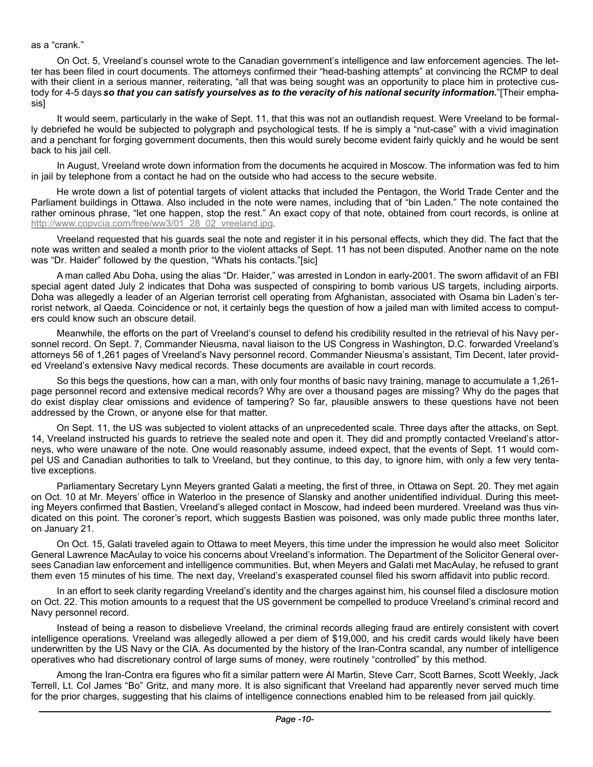#### as a "crank."

On Oct. 5, Vreeland's counsel wrote to the Canadian government's intelligence and law enforcement agencies. The letter has been filed in court documents. The attorneys confirmed their "head-bashing attempts" at convincing the RCMP to deal with their client in a serious manner, reiterating, "all that was being sought was an opportunity to place him in protective custody for 4-5 days *so that you can satisfy yourselves as to the veracity of his national security information.*"[Their emphasis]

It would seem, particularly in the wake of Sept. 11, that this was not an outlandish request. Were Vreeland to be formally debriefed he would be subjected to polygraph and psychological tests. If he is simply a "nut-case" with a vivid imagination and a penchant for forging government documents, then this would surely become evident fairly quickly and he would be sent back to his jail cell.

In August, Vreeland wrote down information from the documents he acquired in Moscow. The information was fed to him in jail by telephone from a contact he had on the outside who had access to the secure website.

He wrote down a list of potential targets of violent attacks that included the Pentagon, the World Trade Center and the Parliament buildings in Ottawa. Also included in the note were names, including that of "bin Laden." The note contained the rather ominous phrase, "let one happen, stop the rest." An exact copy of that note, obtained from court records, is online at [http://www.copvcia.com/free/ww3/01\\_28\\_02\\_vreeland.jpg.](http://www.fromthewilderness.com/free/ww3/01_28_02_vreeland.jpg)

Vreeland requested that his guards seal the note and register it in his personal effects, which they did. The fact that the note was written and sealed a month prior to the violent attacks of Sept. 11 has not been disputed. Another name on the note was "Dr. Haider" followed by the question, "Whats his contacts."[sic]

A man called Abu Doha, using the alias "Dr. Haider," was arrested in London in early-2001. The sworn affidavit of an FBI special agent dated July 2 indicates that Doha was suspected of conspiring to bomb various US targets, including airports. Doha was allegedly a leader of an Algerian terrorist cell operating from Afghanistan, associated with Osama bin Laden's terrorist network, al Qaeda. Coincidence or not, it certainly begs the question of how a jailed man with limited access to computers could know such an obscure detail.

Meanwhile, the efforts on the part of Vreeland's counsel to defend his credibility resulted in the retrieval of his Navy personnel record. On Sept. 7, Commander Nieusma, naval liaison to the US Congress in Washington, D.C. forwarded Vreeland's attorneys 56 of 1,261 pages of Vreeland's Navy personnel record. Commander Nieusma's assistant, Tim Decent, later provided Vreeland's extensive Navy medical records. These documents are available in court records.

So this begs the questions, how can a man, with only four months of basic navy training, manage to accumulate a 1,261 page personnel record and extensive medical records? Why are over a thousand pages are missing? Why do the pages that do exist display clear omissions and evidence of tampering? So far, plausible answers to these questions have not been addressed by the Crown, or anyone else for that matter.

On Sept. 11, the US was subjected to violent attacks of an unprecedented scale. Three days after the attacks, on Sept. 14, Vreeland instructed his guards to retrieve the sealed note and open it. They did and promptly contacted Vreeland's attorneys, who were unaware of the note. One would reasonably assume, indeed expect, that the events of Sept. 11 would compel US and Canadian authorities to talk to Vreeland, but they continue, to this day, to ignore him, with only a few very tentative exceptions.

Parliamentary Secretary Lynn Meyers granted Galati a meeting, the first of three, in Ottawa on Sept. 20. They met again on Oct. 10 at Mr. Meyers' office in Waterloo in the presence of Slansky and another unidentified individual. During this meeting Meyers confirmed that Bastien, Vreeland's alleged contact in Moscow, had indeed been murdered. Vreeland was thus vindicated on this point. The coroner's report, which suggests Bastien was poisoned, was only made public three months later, on January 21.

On Oct. 15, Galati traveled again to Ottawa to meet Meyers, this time under the impression he would also meet Solicitor General Lawrence MacAulay to voice his concerns about Vreeland's information. The Department of the Solicitor General oversees Canadian law enforcement and intelligence communities. But, when Meyers and Galati met MacAulay, he refused to grant them even 15 minutes of his time. The next day, Vreeland's exasperated counsel filed his sworn affidavit into public record.

In an effort to seek clarity regarding Vreeland's identity and the charges against him, his counsel filed a disclosure motion on Oct. 22. This motion amounts to a request that the US government be compelled to produce Vreeland's criminal record and Navy personnel record.

Instead of being a reason to disbelieve Vreeland, the criminal records alleging fraud are entirely consistent with covert intelligence operations. Vreeland was allegedly allowed a per diem of \$19,000, and his credit cards would likely have been underwritten by the US Navy or the CIA. As documented by the history of the Iran-Contra scandal, any number of intelligence operatives who had discretionary control of large sums of money, were routinely "controlled" by this method.

Among the Iran-Contra era figures who fit a similar pattern were Al Martin, Steve Carr, Scott Barnes, Scott Weekly, Jack Terrell, Lt. Col James "Bo" Gritz, and many more. It is also significant that Vreeland had apparently never served much time for the prior charges, suggesting that his claims of intelligence connections enabled him to be released from jail quickly.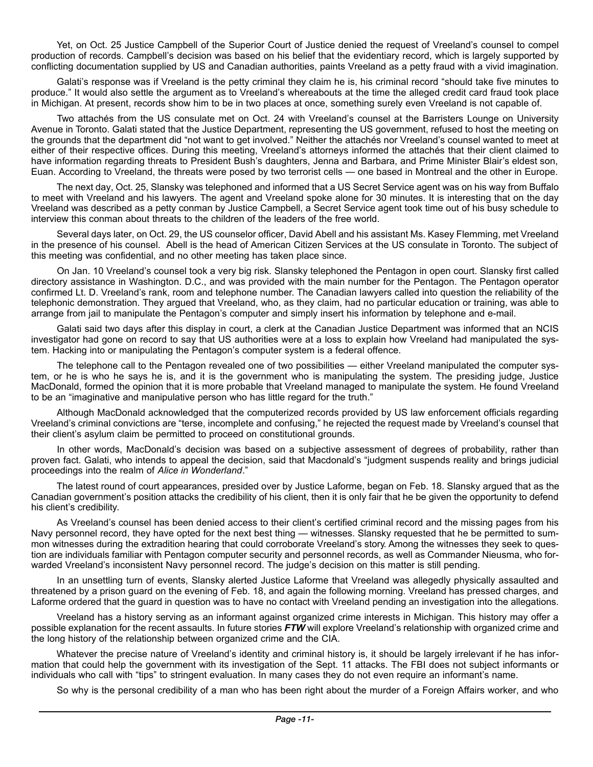Yet, on Oct. 25 Justice Campbell of the Superior Court of Justice denied the request of Vreeland's counsel to compel production of records. Campbell's decision was based on his belief that the evidentiary record, which is largely supported by conflicting documentation supplied by US and Canadian authorities, paints Vreeland as a petty fraud with a vivid imagination.

Galati's response was if Vreeland is the petty criminal they claim he is, his criminal record "should take five minutes to produce." It would also settle the argument as to Vreeland's whereabouts at the time the alleged credit card fraud took place in Michigan. At present, records show him to be in two places at once, something surely even Vreeland is not capable of.

Two attachés from the US consulate met on Oct. 24 with Vreeland's counsel at the Barristers Lounge on University Avenue in Toronto. Galati stated that the Justice Department, representing the US government, refused to host the meeting on the grounds that the department did "not want to get involved." Neither the attachés nor Vreeland's counsel wanted to meet at either of their respective offices. During this meeting, Vreeland's attorneys informed the attachés that their client claimed to have information regarding threats to President Bush's daughters, Jenna and Barbara, and Prime Minister Blair's eldest son, Euan. According to Vreeland, the threats were posed by two terrorist cells — one based in Montreal and the other in Europe.

The next day, Oct. 25, Slansky was telephoned and informed that a US Secret Service agent was on his way from Buffalo to meet with Vreeland and his lawyers. The agent and Vreeland spoke alone for 30 minutes. It is interesting that on the day Vreeland was described as a petty conman by Justice Campbell, a Secret Service agent took time out of his busy schedule to interview this conman about threats to the children of the leaders of the free world.

Several days later, on Oct. 29, the US counselor officer, David Abell and his assistant Ms. Kasey Flemming, met Vreeland in the presence of his counsel. Abell is the head of American Citizen Services at the US consulate in Toronto. The subject of this meeting was confidential, and no other meeting has taken place since.

On Jan. 10 Vreeland's counsel took a very big risk. Slansky telephoned the Pentagon in open court. Slansky first called directory assistance in Washington. D.C., and was provided with the main number for the Pentagon. The Pentagon operator confirmed Lt. D. Vreeland's rank, room and telephone number. The Canadian lawyers called into question the reliability of the telephonic demonstration. They argued that Vreeland, who, as they claim, had no particular education or training, was able to arrange from jail to manipulate the Pentagon's computer and simply insert his information by telephone and e-mail.

Galati said two days after this display in court, a clerk at the Canadian Justice Department was informed that an NCIS investigator had gone on record to say that US authorities were at a loss to explain how Vreeland had manipulated the system. Hacking into or manipulating the Pentagon's computer system is a federal offence.

The telephone call to the Pentagon revealed one of two possibilities — either Vreeland manipulated the computer system, or he is who he says he is, and it is the government who is manipulating the system. The presiding judge, Justice MacDonald, formed the opinion that it is more probable that Vreeland managed to manipulate the system. He found Vreeland to be an "imaginative and manipulative person who has little regard for the truth."

Although MacDonald acknowledged that the computerized records provided by US law enforcement officials regarding Vreeland's criminal convictions are "terse, incomplete and confusing," he rejected the request made by Vreeland's counsel that their client's asylum claim be permitted to proceed on constitutional grounds.

In other words, MacDonald's decision was based on a subjective assessment of degrees of probability, rather than proven fact. Galati, who intends to appeal the decision, said that Macdonald's "judgment suspends reality and brings judicial proceedings into the realm of *Alice in Wonderland*."

The latest round of court appearances, presided over by Justice Laforme, began on Feb. 18. Slansky argued that as the Canadian government's position attacks the credibility of his client, then it is only fair that he be given the opportunity to defend his client's credibility.

As Vreeland's counsel has been denied access to their client's certified criminal record and the missing pages from his Navy personnel record, they have opted for the next best thing — witnesses. Slansky requested that he be permitted to summon witnesses during the extradition hearing that could corroborate Vreeland's story. Among the witnesses they seek to question are individuals familiar with Pentagon computer security and personnel records, as well as Commander Nieusma, who forwarded Vreeland's inconsistent Navy personnel record. The judge's decision on this matter is still pending.

In an unsettling turn of events, Slansky alerted Justice Laforme that Vreeland was allegedly physically assaulted and threatened by a prison guard on the evening of Feb. 18, and again the following morning. Vreeland has pressed charges, and Laforme ordered that the guard in question was to have no contact with Vreeland pending an investigation into the allegations.

Vreeland has a history serving as an informant against organized crime interests in Michigan. This history may offer a possible explanation for the recent assaults. In future stories *FTW* will explore Vreeland's relationship with organized crime and the long history of the relationship between organized crime and the CIA.

Whatever the precise nature of Vreeland's identity and criminal history is, it should be largely irrelevant if he has information that could help the government with its investigation of the Sept. 11 attacks. The FBI does not subject informants or individuals who call with "tips" to stringent evaluation. In many cases they do not even require an informant's name.

So why is the personal credibility of a man who has been right about the murder of a Foreign Affairs worker, and who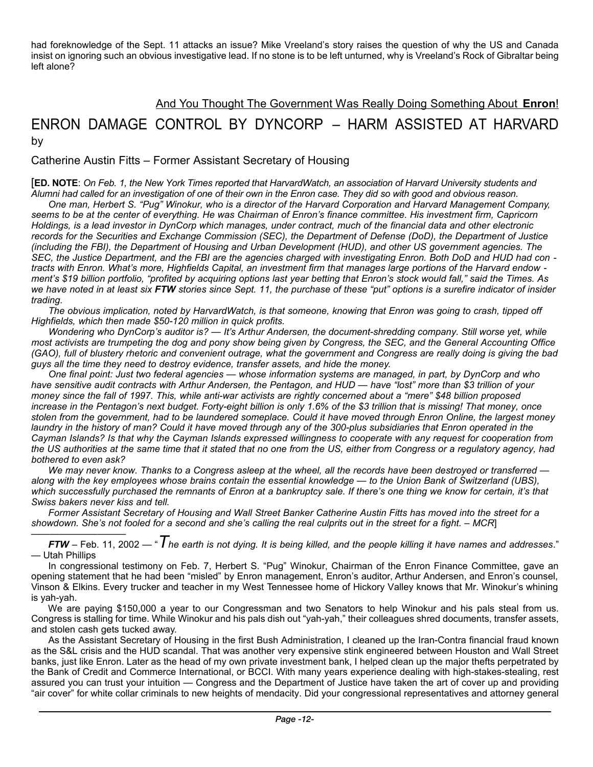had foreknowledge of the Sept. 11 attacks an issue? Mike Vreeland's story raises the question of why the US and Canada insist on ignoring such an obvious investigative lead. If no stone is to be left unturned, why is Vreeland's Rock of Gibraltar being left alone?

#### And You Thought The Government Was Really Doing Something About **Enron**!

## ENRON DAMAGE CONTROL BY DYNCORP – HARM ASSISTED AT HARVARD by

Catherine Austin Fitts – Former Assistant Secretary of Housing

[**ED. NOTE**: *On Feb. 1, the New York Times reported that HarvardWatch, an association of Harvard University students and Alumni had called for an investigation of one of their own in the Enron case. They did so with good and obvious reason.* 

*One man, Herbert S. "Pug" Winokur, who is a director of the Harvard Corporation and Harvard Management Company, seems to be at the center of everything. He was Chairman of Enron's finance committee. His investment firm, Capricorn Holdings, is a lead investor in DynCorp which manages, under contract, much of the financial data and other electronic records for the Securities and Exchange Commission (SEC), the Department of Defense (DoD), the Department of Justice (including the FBI), the Department of Housing and Urban Development (HUD), and other US government agencies. The SEC, the Justice Department, and the FBI are the agencies charged with investigating Enron. Both DoD and HUD had con tracts with Enron. What's more, Highfields Capital, an investment firm that manages large portions of the Harvard endow ment's \$19 billion portfolio, "profited by acquiring options last year betting that Enron's stock would fall," said the Times. As we have noted in at least six FTW stories since Sept. 11, the purchase of these "put" options is a surefire indicator of insider trading.*

*The obvious implication, noted by HarvardWatch, is that someone, knowing that Enron was going to crash, tipped off Highfields, which then made \$50-120 million in quick profits.*

*Wondering who DynCorp's auditor is? — It's Arthur Andersen, the document-shredding company. Still worse yet, while most activists are trumpeting the dog and pony show being given by Congress, the SEC, and the General Accounting Office (GAO), full of blustery rhetoric and convenient outrage, what the government and Congress are really doing is giving the bad guys all the time they need to destroy evidence, transfer assets, and hide the money.*

*One final point: Just two federal agencies — whose information systems are managed, in part, by DynCorp and who have sensitive audit contracts with Arthur Andersen, the Pentagon, and HUD — have "lost" more than \$3 trillion of your money since the fall of 1997. This, while anti-war activists are rightly concerned about a "mere" \$48 billion proposed increase in the Pentagon's next budget. Forty-eight billion is only 1.6% of the \$3 trillion that is missing! That money, once stolen from the government, had to be laundered someplace. Could it have moved through Enron Online, the largest money laundry in the history of man? Could it have moved through any of the 300-plus subsidiaries that Enron operated in the Cayman Islands? Is that why the Cayman Islands expressed willingness to cooperate with any request for cooperation from the US authorities at the same time that it stated that no one from the US, either from Congress or a regulatory agency, had bothered to even ask?*

*We may never know. Thanks to a Congress asleep at the wheel, all the records have been destroyed or transferred along with the key employees whose brains contain the essential knowledge — to the Union Bank of Switzerland (UBS), which successfully purchased the remnants of Enron at a bankruptcy sale. If there's one thing we know for certain, it's that Swiss bakers never kiss and tell.*

*Former Assistant Secretary of Housing and Wall Street Banker Catherine Austin Fitts has moved into the street for a showdown. She's not fooled for a second and she's calling the real culprits out in the street for a fight. – MCR*]

*—————————— FTW* – Feb. 11, 2002 — "*The earth is not dying. It is being killed, and the people killing it have names and addresses*." — Utah Phillips

In congressional testimony on Feb. 7, Herbert S. "Pug" Winokur, Chairman of the Enron Finance Committee, gave an opening statement that he had been "misled" by Enron management, Enron's auditor, Arthur Andersen, and Enron's counsel, Vinson & Elkins. Every trucker and teacher in my West Tennessee home of Hickory Valley knows that Mr. Winokur's whining is yah-yah.

We are paying \$150,000 a year to our Congressman and two Senators to help Winokur and his pals steal from us. Congress is stalling for time. While Winokur and his pals dish out "yah-yah," their colleagues shred documents, transfer assets, and stolen cash gets tucked away.

As the Assistant Secretary of Housing in the first Bush Administration, I cleaned up the Iran-Contra financial fraud known as the S&L crisis and the HUD scandal. That was another very expensive stink engineered between Houston and Wall Street banks, just like Enron. Later as the head of my own private investment bank, I helped clean up the major thefts perpetrated by the Bank of Credit and Commerce International, or BCCI. With many years experience dealing with high-stakes-stealing, rest assured you can trust your intuition — Congress and the Department of Justice have taken the art of cover up and providing "air cover" for white collar criminals to new heights of mendacity. Did your congressional representatives and attorney general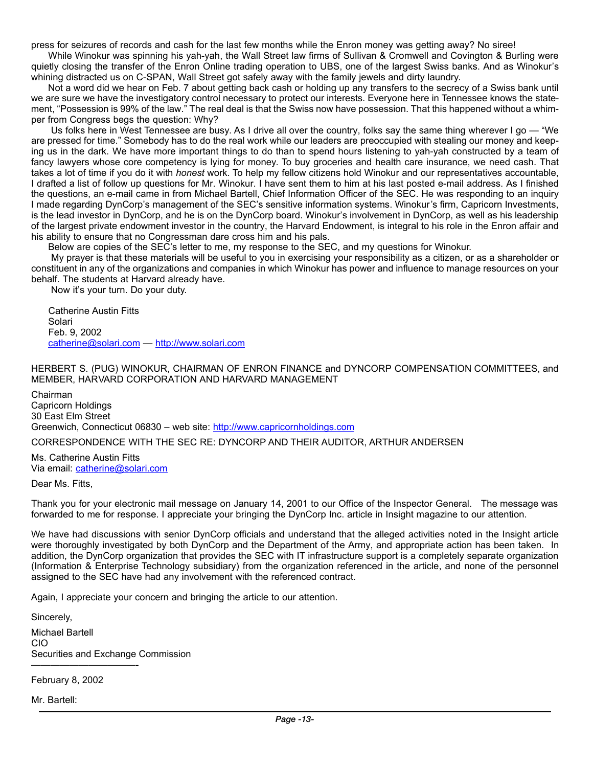press for seizures of records and cash for the last few months while the Enron money was getting away? No siree!

While Winokur was spinning his yah-yah, the Wall Street law firms of Sullivan & Cromwell and Covington & Burling were quietly closing the transfer of the Enron Online trading operation to UBS, one of the largest Swiss banks. And as Winokur's whining distracted us on C-SPAN, Wall Street got safely away with the family jewels and dirty laundry.

Not a word did we hear on Feb. 7 about getting back cash or holding up any transfers to the secrecy of a Swiss bank until we are sure we have the investigatory control necessary to protect our interests. Everyone here in Tennessee knows the statement, "Possession is 99% of the law." The real deal is that the Swiss now have possession. That this happened without a whimper from Congress begs the question: Why?

Us folks here in West Tennessee are busy. As I drive all over the country, folks say the same thing wherever I go — "We are pressed for time." Somebody has to do the real work while our leaders are preoccupied with stealing our money and keeping us in the dark. We have more important things to do than to spend hours listening to yah-yah constructed by a team of fancy lawyers whose core competency is lying for money. To buy groceries and health care insurance, we need cash. That takes a lot of time if you do it with *honest* work. To help my fellow citizens hold Winokur and our representatives accountable, I drafted a list of follow up questions for Mr. Winokur. I have sent them to him at his last posted e-mail address. As I finished the questions, an e-mail came in from Michael Bartell, Chief Information Officer of the SEC. He was responding to an inquiry I made regarding DynCorp's management of the SEC's sensitive information systems. Winokur's firm, Capricorn Investments, is the lead investor in DynCorp, and he is on the DynCorp board. Winokur's involvement in DynCorp, as well as his leadership of the largest private endowment investor in the country, the Harvard Endowment, is integral to his role in the Enron affair and his ability to ensure that no Congressman dare cross him and his pals.

Below are copies of the SEC's letter to me, my response to the SEC, and my questions for Winokur.

My prayer is that these materials will be useful to you in exercising your responsibility as a citizen, or as a shareholder or constituent in any of the organizations and companies in which Winokur has power and influence to manage resources on your behalf. The students at Harvard already have.

Now it's your turn. Do your duty.

Catherine Austin Fitts Solari Feb. 9, 2002 catherine@solari.com — <http://www.solari.com>

HERBERT S. (PUG) WINOKUR, CHAIRMAN OF ENRON FINANCE and DYNCORP COMPENSATION COMMITTEES, and MEMBER, HARVARD CORPORATION AND HARVARD MANAGEMENT

Chairman Capricorn Holdings 30 East Elm Street Greenwich, Connecticut 06830 – web site[: http://www.capricornholdings.com](http://www.capricornholdings.com)

CORRESPONDENCE WITH THE SEC RE: DYNCORP AND THEIR AUDITOR, ARTHUR ANDERSEN

Ms. Catherine Austin Fitts Via email: catherine@solari.com

Dear Ms. Fitts,

Thank you for your electronic mail message on January 14, 2001 to our Office of the Inspector General. The message was forwarded to me for response. I appreciate your bringing the DynCorp Inc. article in Insight magazine to our attention.

We have had discussions with senior DynCorp officials and understand that the alleged activities noted in the Insight article were thoroughly investigated by both DynCorp and the Department of the Army, and appropriate action has been taken. In addition, the DynCorp organization that provides the SEC with IT infrastructure support is a completely separate organization (Information & Enterprise Technology subsidiary) from the organization referenced in the article, and none of the personnel assigned to the SEC have had any involvement with the referenced contract.

Again, I appreciate your concern and bringing the article to our attention.

Sincerely, Michael Bartell CIO Securities and Exchange Commission ———————————-

February 8, 2002

Mr. Bartell: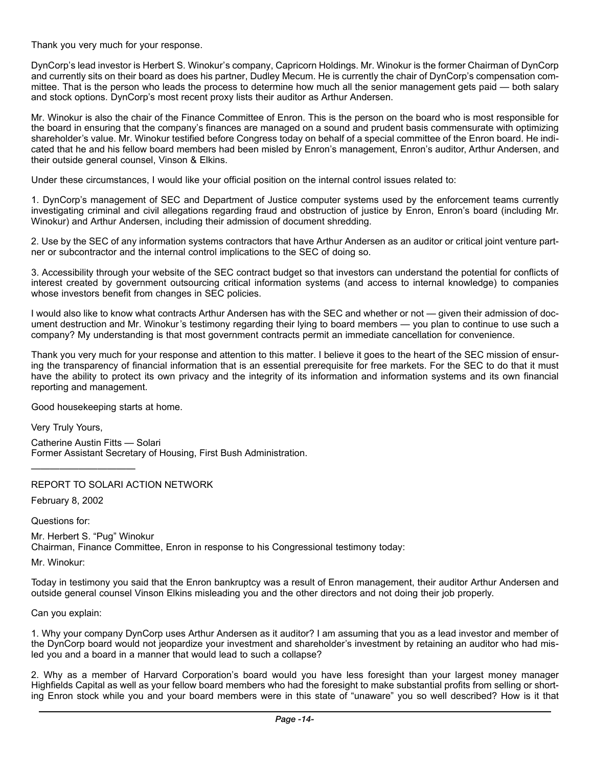Thank you very much for your response.

DynCorp's lead investor is Herbert S. Winokur's company, Capricorn Holdings. Mr. Winokur is the former Chairman of DynCorp and currently sits on their board as does his partner, Dudley Mecum. He is currently the chair of DynCorp's compensation committee. That is the person who leads the process to determine how much all the senior management gets paid — both salary and stock options. DynCorp's most recent proxy lists their auditor as Arthur Andersen.

Mr. Winokur is also the chair of the Finance Committee of Enron. This is the person on the board who is most responsible for the board in ensuring that the company's finances are managed on a sound and prudent basis commensurate with optimizing shareholder's value. Mr. Winokur testified before Congress today on behalf of a special committee of the Enron board. He indicated that he and his fellow board members had been misled by Enron's management, Enron's auditor, Arthur Andersen, and their outside general counsel, Vinson & Elkins.

Under these circumstances, I would like your official position on the internal control issues related to:

1. DynCorp's management of SEC and Department of Justice computer systems used by the enforcement teams currently investigating criminal and civil allegations regarding fraud and obstruction of justice by Enron, Enron's board (including Mr. Winokur) and Arthur Andersen, including their admission of document shredding.

2. Use by the SEC of any information systems contractors that have Arthur Andersen as an auditor or critical joint venture partner or subcontractor and the internal control implications to the SEC of doing so.

3. Accessibility through your website of the SEC contract budget so that investors can understand the potential for conflicts of interest created by government outsourcing critical information systems (and access to internal knowledge) to companies whose investors benefit from changes in SEC policies.

I would also like to know what contracts Arthur Andersen has with the SEC and whether or not — given their admission of document destruction and Mr. Winokur's testimony regarding their lying to board members — you plan to continue to use such a company? My understanding is that most government contracts permit an immediate cancellation for convenience.

Thank you very much for your response and attention to this matter. I believe it goes to the heart of the SEC mission of ensuring the transparency of financial information that is an essential prerequisite for free markets. For the SEC to do that it must have the ability to protect its own privacy and the integrity of its information and information systems and its own financial reporting and management.

Good housekeeping starts at home.

Very Truly Yours,

Catherine Austin Fitts — Solari Former Assistant Secretary of Housing, First Bush Administration.

REPORT TO SOLARI ACTION NETWORK

February 8, 2002

———————————

Questions for:

Mr. Herbert S. "Pug" Winokur Chairman, Finance Committee, Enron in response to his Congressional testimony today:

Mr. Winokur:

Today in testimony you said that the Enron bankruptcy was a result of Enron management, their auditor Arthur Andersen and outside general counsel Vinson Elkins misleading you and the other directors and not doing their job properly.

Can you explain:

1. Why your company DynCorp uses Arthur Andersen as it auditor? I am assuming that you as a lead investor and member of the DynCorp board would not jeopardize your investment and shareholder's investment by retaining an auditor who had misled you and a board in a manner that would lead to such a collapse?

2. Why as a member of Harvard Corporation's board would you have less foresight than your largest money manager Highfields Capital as well as your fellow board members who had the foresight to make substantial profits from selling or shorting Enron stock while you and your board members were in this state of "unaware" you so well described? How is it that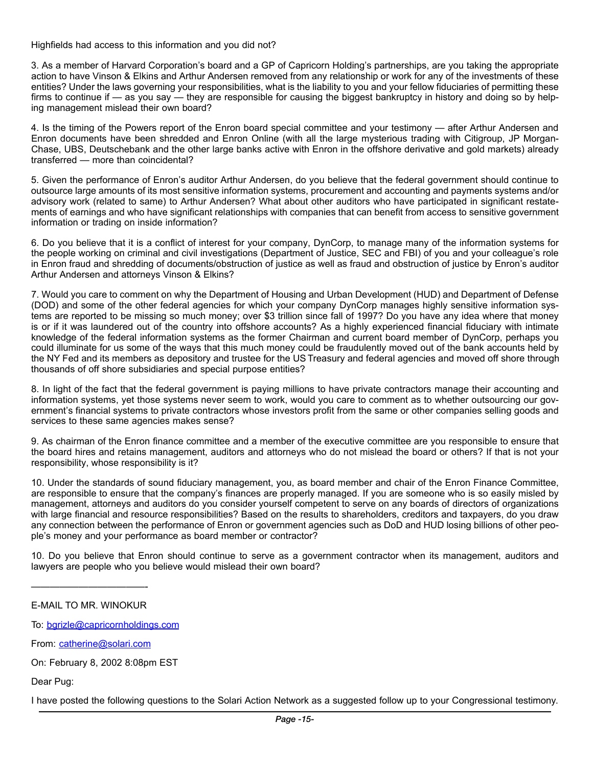Highfields had access to this information and you did not?

3. As a member of Harvard Corporation's board and a GP of Capricorn Holding's partnerships, are you taking the appropriate action to have Vinson & Elkins and Arthur Andersen removed from any relationship or work for any of the investments of these entities? Under the laws governing your responsibilities, what is the liability to you and your fellow fiduciaries of permitting these firms to continue if — as you say — they are responsible for causing the biggest bankruptcy in history and doing so by helping management mislead their own board?

4. Is the timing of the Powers report of the Enron board special committee and your testimony — after Arthur Andersen and Enron documents have been shredded and Enron Online (with all the large mysterious trading with Citigroup, JP Morgan-Chase, UBS, Deutschebank and the other large banks active with Enron in the offshore derivative and gold markets) already transferred — more than coincidental?

5. Given the performance of Enron's auditor Arthur Andersen, do you believe that the federal government should continue to outsource large amounts of its most sensitive information systems, procurement and accounting and payments systems and/or advisory work (related to same) to Arthur Andersen? What about other auditors who have participated in significant restatements of earnings and who have significant relationships with companies that can benefit from access to sensitive government information or trading on inside information?

6. Do you believe that it is a conflict of interest for your company, DynCorp, to manage many of the information systems for the people working on criminal and civil investigations (Department of Justice, SEC and FBI) of you and your colleague's role in Enron fraud and shredding of documents/obstruction of justice as well as fraud and obstruction of justice by Enron's auditor Arthur Andersen and attorneys Vinson & Elkins?

7. Would you care to comment on why the Department of Housing and Urban Development (HUD) and Department of Defense (DOD) and some of the other federal agencies for which your company DynCorp manages highly sensitive information systems are reported to be missing so much money; over \$3 trillion since fall of 1997? Do you have any idea where that money is or if it was laundered out of the country into offshore accounts? As a highly experienced financial fiduciary with intimate knowledge of the federal information systems as the former Chairman and current board member of DynCorp, perhaps you could illuminate for us some of the ways that this much money could be fraudulently moved out of the bank accounts held by the NY Fed and its members as depository and trustee for the US Treasury and federal agencies and moved off shore through thousands of off shore subsidiaries and special purpose entities?

8. In light of the fact that the federal government is paying millions to have private contractors manage their accounting and information systems, yet those systems never seem to work, would you care to comment as to whether outsourcing our government's financial systems to private contractors whose investors profit from the same or other companies selling goods and services to these same agencies makes sense?

9. As chairman of the Enron finance committee and a member of the executive committee are you responsible to ensure that the board hires and retains management, auditors and attorneys who do not mislead the board or others? If that is not your responsibility, whose responsibility is it?

10. Under the standards of sound fiduciary management, you, as board member and chair of the Enron Finance Committee, are responsible to ensure that the company's finances are properly managed. If you are someone who is so easily misled by management, attorneys and auditors do you consider yourself competent to serve on any boards of directors of organizations with large financial and resource responsibilities? Based on the results to shareholders, creditors and taxpayers, do you draw any connection between the performance of Enron or government agencies such as DoD and HUD losing billions of other people's money and your performance as board member or contractor?

10. Do you believe that Enron should continue to serve as a government contractor when its management, auditors and lawyers are people who you believe would mislead their own board?

Dear Pug:

I have posted the following questions to the Solari Action Network as a suggested follow up to your Congressional testimony.

<sup>————————————-</sup> E-MAIL TO MR. WINOKUR

To: bgrizle@capricornholdings.com

From: catherine@solari.com

On: February 8, 2002 8:08pm EST